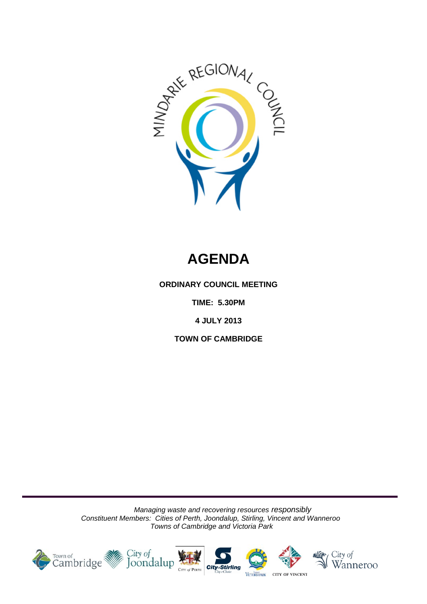

# **AGENDA**

**ORDINARY COUNCIL MEETING**

**TIME: 5.30PM**

**4 JULY 2013**

**TOWN OF CAMBRIDGE**

*Managing waste and recovering resources responsibly Constituent Members: Cities of Perth, Joondalup, Stirling, Vincent and Wanneroo Towns of Cambridge and Victoria Park*

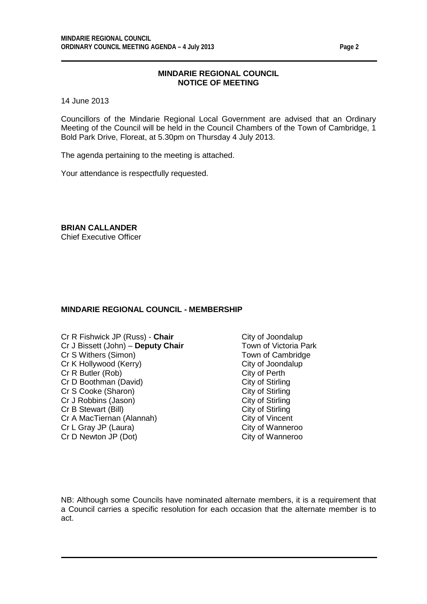## **MINDARIE REGIONAL COUNCIL NOTICE OF MEETING**

14 June 2013

Councillors of the Mindarie Regional Local Government are advised that an Ordinary Meeting of the Council will be held in the Council Chambers of the Town of Cambridge, 1 Bold Park Drive, Floreat, at 5.30pm on Thursday 4 July 2013.

The agenda pertaining to the meeting is attached.

Your attendance is respectfully requested.

**BRIAN CALLANDER** Chief Executive Officer

## **MINDARIE REGIONAL COUNCIL - MEMBERSHIP**

- Cr R Fishwick JP (Russ) **Chair** City of Joondalup<br>Cr J Bissett (John) **Deputy Chair** Town of Victoria Park Cr J Bissett (John) – **Deputy Chair** Cr S Withers (Simon) Town of Cambridge Cr K Hollywood (Kerry) City of Joondalup<br>
Cr R Butler (Rob) Cr R Butler (Rob) Cr R Butler (Rob) City of Perth<br>
Cr D Boothman (David) City of Stirling Cr D Boothman (David) City of Stirling<br>
Cr S Cooke (Sharon) City of Stirling Cr S Cooke (Sharon) City of Stirling<br>
Cr J Robbins (Jason) City of Stirling<br>
City of Stirling Cr J Robbins (Jason) City of Stirling<br>
Cr B Stewart (Bill) Cr B Stewart (Bill) Cr B Stewart (Bill) Cr A MacTiernan (Alannah) City of Vincent<br>
Cr L Gray JP (Laura) Cr L Gray City of Wanneroo Cr L Gray JP (Laura) Cr D Newton JP (Dot) City of Wanneroo
	-

NB: Although some Councils have nominated alternate members, it is a requirement that a Council carries a specific resolution for each occasion that the alternate member is to act.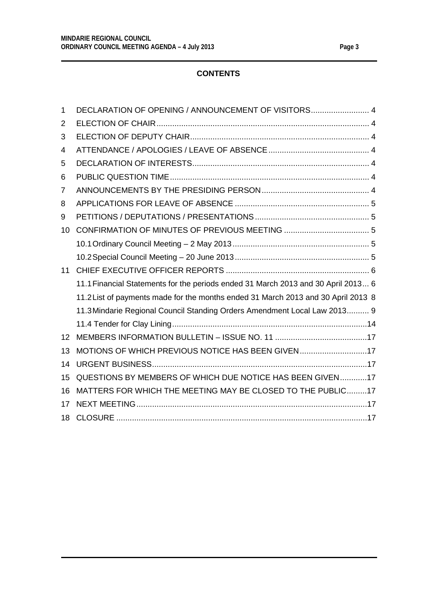# **CONTENTS**

| 1  | DECLARATION OF OPENING / ANNOUNCEMENT OF VISITORS 4                               |
|----|-----------------------------------------------------------------------------------|
| 2  |                                                                                   |
| 3  |                                                                                   |
| 4  |                                                                                   |
| 5  |                                                                                   |
| 6  |                                                                                   |
| 7  |                                                                                   |
| 8  |                                                                                   |
| 9  |                                                                                   |
| 10 |                                                                                   |
|    |                                                                                   |
|    |                                                                                   |
| 11 |                                                                                   |
|    | 11.1 Financial Statements for the periods ended 31 March 2013 and 30 April 2013 6 |
|    | 11.2 List of payments made for the months ended 31 March 2013 and 30 April 2013 8 |
|    | 11.3 Mindarie Regional Council Standing Orders Amendment Local Law 2013 9         |
|    |                                                                                   |
| 12 |                                                                                   |
| 13 | MOTIONS OF WHICH PREVIOUS NOTICE HAS BEEN GIVEN17                                 |
| 14 |                                                                                   |
| 15 | QUESTIONS BY MEMBERS OF WHICH DUE NOTICE HAS BEEN GIVEN17                         |
| 16 | MATTERS FOR WHICH THE MEETING MAY BE CLOSED TO THE PUBLIC17                       |
| 17 |                                                                                   |
| 18 |                                                                                   |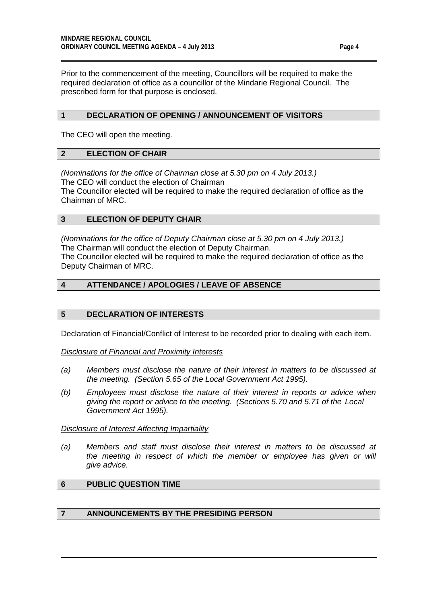Prior to the commencement of the meeting, Councillors will be required to make the required declaration of office as a councillor of the Mindarie Regional Council. The prescribed form for that purpose is enclosed.

## <span id="page-3-0"></span>**1 DECLARATION OF OPENING / ANNOUNCEMENT OF VISITORS**

The CEO will open the meeting.

## <span id="page-3-1"></span>**2 ELECTION OF CHAIR**

*(Nominations for the office of Chairman close at 5.30 pm on 4 July 2013.)*  The CEO will conduct the election of Chairman

The Councillor elected will be required to make the required declaration of office as the Chairman of MRC.

## <span id="page-3-2"></span>**3 ELECTION OF DEPUTY CHAIR**

*(Nominations for the office of Deputy Chairman close at 5.30 pm on 4 July 2013.)*  The Chairman will conduct the election of Deputy Chairman. The Councillor elected will be required to make the required declaration of office as the Deputy Chairman of MRC.

## <span id="page-3-3"></span>**4 ATTENDANCE / APOLOGIES / LEAVE OF ABSENCE**

#### <span id="page-3-4"></span>**5 DECLARATION OF INTERESTS**

Declaration of Financial/Conflict of Interest to be recorded prior to dealing with each item.

*Disclosure of Financial and Proximity Interests*

- *(a) Members must disclose the nature of their interest in matters to be discussed at the meeting. (Section 5.65 of the Local Government Act 1995).*
- *(b) Employees must disclose the nature of their interest in reports or advice when giving the report or advice to the meeting. (Sections 5.70 and 5.71 of the Local Government Act 1995).*

#### *Disclosure of Interest Affecting Impartiality*

*(a) Members and staff must disclose their interest in matters to be discussed at*  the meeting in respect of which the member or employee has given or will *give advice.*

# <span id="page-3-5"></span>**6 PUBLIC QUESTION TIME**

## <span id="page-3-6"></span>**7 ANNOUNCEMENTS BY THE PRESIDING PERSON**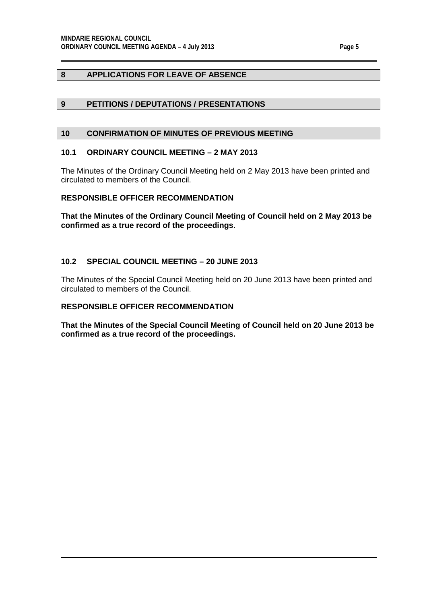# <span id="page-4-0"></span>**8 APPLICATIONS FOR LEAVE OF ABSENCE**

## <span id="page-4-1"></span>**9 PETITIONS / DEPUTATIONS / PRESENTATIONS**

## <span id="page-4-2"></span>**10 CONFIRMATION OF MINUTES OF PREVIOUS MEETING**

#### <span id="page-4-3"></span>**10.1 ORDINARY COUNCIL MEETING – 2 MAY 2013**

The Minutes of the Ordinary Council Meeting held on 2 May 2013 have been printed and circulated to members of the Council.

#### **RESPONSIBLE OFFICER RECOMMENDATION**

**That the Minutes of the Ordinary Council Meeting of Council held on 2 May 2013 be confirmed as a true record of the proceedings.**

## <span id="page-4-4"></span>**10.2 SPECIAL COUNCIL MEETING – 20 JUNE 2013**

The Minutes of the Special Council Meeting held on 20 June 2013 have been printed and circulated to members of the Council.

## **RESPONSIBLE OFFICER RECOMMENDATION**

**That the Minutes of the Special Council Meeting of Council held on 20 June 2013 be confirmed as a true record of the proceedings.**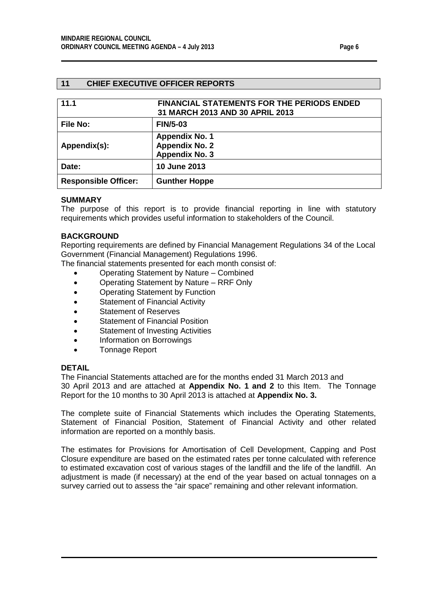## <span id="page-5-0"></span>**11 CHIEF EXECUTIVE OFFICER REPORTS**

<span id="page-5-1"></span>

| 11.1                        | <b>FINANCIAL STATEMENTS FOR THE PERIODS ENDED</b><br>31 MARCH 2013 AND 30 APRIL 2013 |
|-----------------------------|--------------------------------------------------------------------------------------|
| File No:                    | <b>FIN/5-03</b>                                                                      |
| Appendix(s):                | <b>Appendix No. 1</b><br><b>Appendix No. 2</b><br><b>Appendix No. 3</b>              |
| Date:                       | <b>10 June 2013</b>                                                                  |
| <b>Responsible Officer:</b> | <b>Gunther Hoppe</b>                                                                 |

#### **SUMMARY**

The purpose of this report is to provide financial reporting in line with statutory requirements which provides useful information to stakeholders of the Council.

## **BACKGROUND**

Reporting requirements are defined by Financial Management Regulations 34 of the Local Government (Financial Management) Regulations 1996.

The financial statements presented for each month consist of:

- Operating Statement by Nature Combined
- Operating Statement by Nature RRF Only
- Operating Statement by Function
- Statement of Financial Activity
- Statement of Reserves
- Statement of Financial Position
- Statement of Investing Activities
- Information on Borrowings
- Tonnage Report

#### **DETAIL**

The Financial Statements attached are for the months ended 31 March 2013 and 30 April 2013 and are attached at **Appendix No. 1 and 2** to this Item. The Tonnage Report for the 10 months to 30 April 2013 is attached at **Appendix No. 3.**

The complete suite of Financial Statements which includes the Operating Statements, Statement of Financial Position, Statement of Financial Activity and other related information are reported on a monthly basis.

The estimates for Provisions for Amortisation of Cell Development, Capping and Post Closure expenditure are based on the estimated rates per tonne calculated with reference to estimated excavation cost of various stages of the landfill and the life of the landfill. An adjustment is made (if necessary) at the end of the year based on actual tonnages on a survey carried out to assess the "air space" remaining and other relevant information.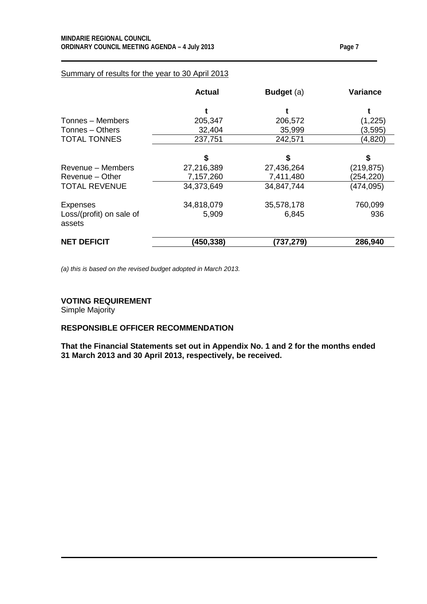|                                    | <b>Actual</b> | <b>Budget</b> (a) | Variance   |
|------------------------------------|---------------|-------------------|------------|
|                                    |               |                   |            |
| Tonnes – Members                   | 205,347       | 206,572           | (1,225)    |
| Tonnes - Others                    | 32,404        | 35,999            | (3,595)    |
| <b>TOTAL TONNES</b>                | 237,751       | 242,571           | (4,820)    |
|                                    | \$            | \$                | \$         |
| Revenue - Members                  | 27,216,389    | 27,436,264        | (219, 875) |
| Revenue - Other                    | 7,157,260     | 7,411,480         | (254, 220) |
| <b>TOTAL REVENUE</b>               | 34,373,649    | 34,847,744        | (474, 095) |
| <b>Expenses</b>                    | 34,818,079    | 35,578,178        | 760,099    |
| Loss/(profit) on sale of<br>assets | 5,909         | 6,845             | 936        |
| <b>NET DEFICIT</b>                 | (450,338)     | (737,279)         | 286,940    |

## Summary of results for the year to 30 April 2013

*(a) this is based on the revised budget adopted in March 2013.*

#### **VOTING REQUIREMENT**

Simple Majority

# **RESPONSIBLE OFFICER RECOMMENDATION**

**That the Financial Statements set out in Appendix No. 1 and 2 for the months ended 31 March 2013 and 30 April 2013, respectively, be received.**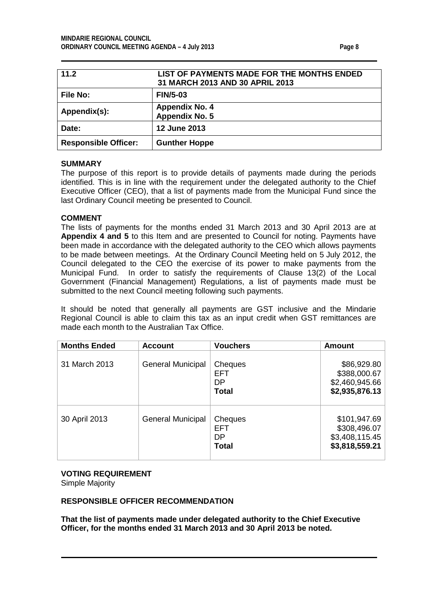<span id="page-7-0"></span>

| 11.2                        | LIST OF PAYMENTS MADE FOR THE MONTHS ENDED<br>31 MARCH 2013 AND 30 APRIL 2013 |
|-----------------------------|-------------------------------------------------------------------------------|
| <b>File No:</b>             | <b>FIN/5-03</b>                                                               |
| Appendix(s):                | <b>Appendix No. 4</b><br><b>Appendix No. 5</b>                                |
| Date:                       | <b>12 June 2013</b>                                                           |
| <b>Responsible Officer:</b> | <b>Gunther Hoppe</b>                                                          |

## **SUMMARY**

The purpose of this report is to provide details of payments made during the periods identified. This is in line with the requirement under the delegated authority to the Chief Executive Officer (CEO), that a list of payments made from the Municipal Fund since the last Ordinary Council meeting be presented to Council.

## **COMMENT**

The lists of payments for the months ended 31 March 2013 and 30 April 2013 are at **Appendix 4 and 5** to this Item and are presented to Council for noting. Payments have been made in accordance with the delegated authority to the CEO which allows payments to be made between meetings. At the Ordinary Council Meeting held on 5 July 2012, the Council delegated to the CEO the exercise of its power to make payments from the Municipal Fund. In order to satisfy the requirements of Clause 13(2) of the Local Government (Financial Management) Regulations, a list of payments made must be submitted to the next Council meeting following such payments.

It should be noted that generally all payments are GST inclusive and the Mindarie Regional Council is able to claim this tax as an input credit when GST remittances are made each month to the Australian Tax Office.

| <b>Months Ended</b> | <b>Account</b>           | <b>Vouchers</b>                             | Amount                                                           |
|---------------------|--------------------------|---------------------------------------------|------------------------------------------------------------------|
| 31 March 2013       | <b>General Municipal</b> | Cheques<br><b>EFT</b><br>DP<br><b>Total</b> | \$86,929.80<br>\$388,000.67<br>\$2,460,945.66<br>\$2,935,876.13  |
| 30 April 2013       | <b>General Municipal</b> | Cheques<br><b>EFT</b><br>DP<br><b>Total</b> | \$101,947.69<br>\$308,496.07<br>\$3,408,115.45<br>\$3,818,559.21 |

#### **VOTING REQUIREMENT**

Simple Majority

## **RESPONSIBLE OFFICER RECOMMENDATION**

**That the list of payments made under delegated authority to the Chief Executive Officer, for the months ended 31 March 2013 and 30 April 2013 be noted.**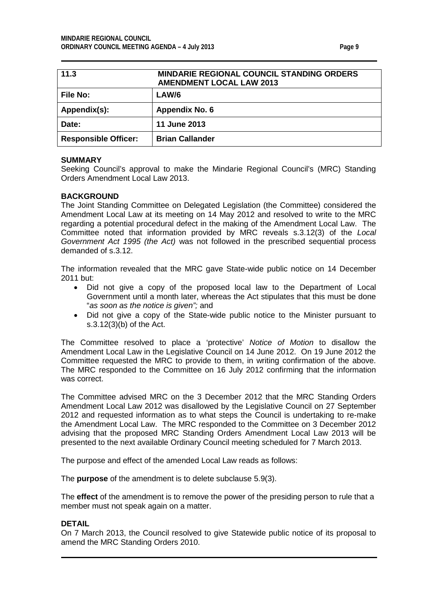<span id="page-8-0"></span>

| 11.3                        | <b>MINDARIE REGIONAL COUNCIL STANDING ORDERS</b><br><b>AMENDMENT LOCAL LAW 2013</b> |
|-----------------------------|-------------------------------------------------------------------------------------|
| <b>File No:</b>             | LAW/6                                                                               |
| Appendix(s):                | Appendix No. 6                                                                      |
| Date:                       | <b>11 June 2013</b>                                                                 |
| <b>Responsible Officer:</b> | <b>Brian Callander</b>                                                              |

#### **SUMMARY**

Seeking Council's approval to make the Mindarie Regional Council's (MRC) Standing Orders Amendment Local Law 2013.

## **BACKGROUND**

The Joint Standing Committee on Delegated Legislation (the Committee) considered the Amendment Local Law at its meeting on 14 May 2012 and resolved to write to the MRC regarding a potential procedural defect in the making of the Amendment Local Law. The Committee noted that information provided by MRC reveals s.3.12(3) of the *Local Government Act 1995 (the Act)* was not followed in the prescribed sequential process demanded of s.3.12.

The information revealed that the MRC gave State-wide public notice on 14 December 2011 but:

- Did not give a copy of the proposed local law to the Department of Local Government until a month later, whereas the Act stipulates that this must be done "*as soon as the notice is given";* and
- Did not give a copy of the State-wide public notice to the Minister pursuant to s.3.12(3)(b) of the Act.

The Committee resolved to place a 'protective' *Notice of Motion* to disallow the Amendment Local Law in the Legislative Council on 14 June 2012. On 19 June 2012 the Committee requested the MRC to provide to them, in writing confirmation of the above. The MRC responded to the Committee on 16 July 2012 confirming that the information was correct.

The Committee advised MRC on the 3 December 2012 that the MRC Standing Orders Amendment Local Law 2012 was disallowed by the Legislative Council on 27 September 2012 and requested information as to what steps the Council is undertaking to re-make the Amendment Local Law. The MRC responded to the Committee on 3 December 2012 advising that the proposed MRC Standing Orders Amendment Local Law 2013 will be presented to the next available Ordinary Council meeting scheduled for 7 March 2013.

The purpose and effect of the amended Local Law reads as follows:

The **purpose** of the amendment is to delete subclause 5.9(3).

The **effect** of the amendment is to remove the power of the presiding person to rule that a member must not speak again on a matter.

#### **DETAIL**

On 7 March 2013, the Council resolved to give Statewide public notice of its proposal to amend the MRC Standing Orders 2010.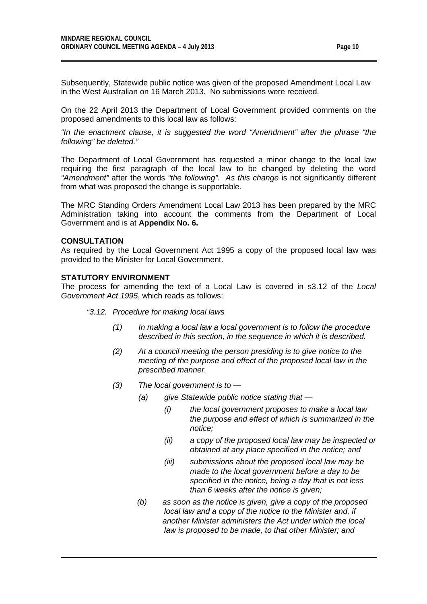Subsequently, Statewide public notice was given of the proposed Amendment Local Law in the West Australian on 16 March 2013. No submissions were received.

On the 22 April 2013 the Department of Local Government provided comments on the proposed amendments to this local law as follows:

*"In the enactment clause, it is suggested the word "Amendment" after the phrase "the following" be deleted."* 

The Department of Local Government has requested a minor change to the local law requiring the first paragraph of the local law to be changed by deleting the word *"Amendment"* after the words *"the following". As this change* is not significantly different from what was proposed the change is supportable.

The MRC Standing Orders Amendment Local Law 2013 has been prepared by the MRC Administration taking into account the comments from the Department of Local Government and is at **Appendix No. 6.**

#### **CONSULTATION**

As required by the Local Government Act 1995 a copy of the proposed local law was provided to the Minister for Local Government.

#### **STATUTORY ENVIRONMENT**

The process for amending the text of a Local Law is covered in s3.12 of the *Local Government Act 1995*, which reads as follows:

#### *"3.12. Procedure for making local laws*

- *(1) In making a local law a local government is to follow the procedure described in this section, in the sequence in which it is described.*
- *(2) At a council meeting the person presiding is to give notice to the meeting of the purpose and effect of the proposed local law in the prescribed manner.*
- *(3) The local government is to —*
	- *(a) give Statewide public notice stating that —*
		- *(i) the local government proposes to make a local law the purpose and effect of which is summarized in the notice;*
		- *(ii) a copy of the proposed local law may be inspected or obtained at any place specified in the notice; and*
		- *(iii) submissions about the proposed local law may be made to the local government before a day to be specified in the notice, being a day that is not less than 6 weeks after the notice is given;*
	- *(b) as soon as the notice is given, give a copy of the proposed local law and a copy of the notice to the Minister and, if another Minister administers the Act under which the local law is proposed to be made, to that other Minister; and*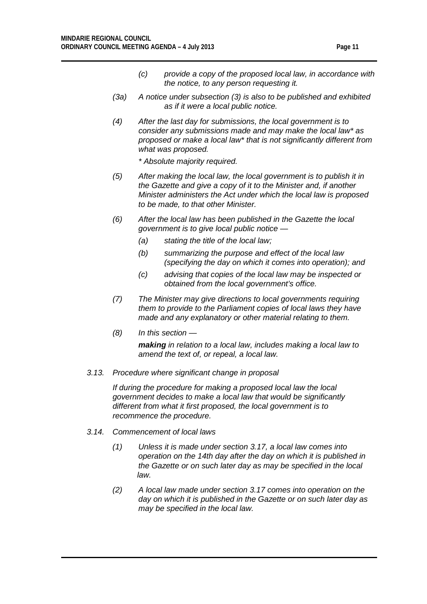- *(c) provide a copy of the proposed local law, in accordance with the notice, to any person requesting it.*
- *(3a) A notice under subsection (3) is also to be published and exhibited as if it were a local public notice.*
- *(4) After the last day for submissions, the local government is to consider any submissions made and may make the local law\* as proposed or make a local law\* that is not significantly different from what was proposed.*

*\* Absolute majority required.*

- *(5) After making the local law, the local government is to publish it in the Gazette and give a copy of it to the Minister and, if another Minister administers the Act under which the local law is proposed to be made, to that other Minister.*
- *(6) After the local law has been published in the Gazette the local government is to give local public notice —*
	- *(a) stating the title of the local law;*
	- *(b) summarizing the purpose and effect of the local law (specifying the day on which it comes into operation); and*
	- *(c) advising that copies of the local law may be inspected or obtained from the local government's office.*
- *(7) The Minister may give directions to local governments requiring them to provide to the Parliament copies of local laws they have made and any explanatory or other material relating to them.*
- *(8) In this section —*

*making in relation to a local law, includes making a local law to amend the text of, or repeal, a local law.*

## *3.13. Procedure where significant change in proposal*

*If during the procedure for making a proposed local law the local government decides to make a local law that would be significantly different from what it first proposed, the local government is to recommence the procedure.*

#### *3.14. Commencement of local laws*

- *(1) Unless it is made under section 3.17, a local law comes into operation on the 14th day after the day on which it is published in the Gazette or on such later day as may be specified in the local law.*
- *(2) A local law made under section 3.17 comes into operation on the day on which it is published in the Gazette or on such later day as may be specified in the local law.*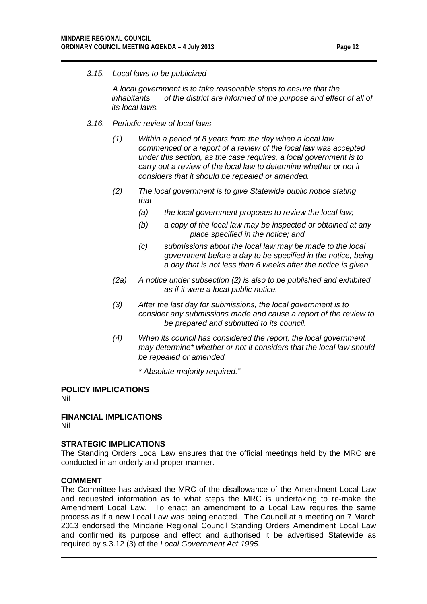*3.15. Local laws to be publicized*

*A local government is to take reasonable steps to ensure that the inhabitants of the district are informed of the purpose and effect of all of its local laws.*

- *3.16. Periodic review of local laws*
	- *(1) Within a period of 8 years from the day when a local law commenced or a report of a review of the local law was accepted under this section, as the case requires, a local government is to carry out a review of the local law to determine whether or not it considers that it should be repealed or amended.*
	- *(2) The local government is to give Statewide public notice stating that —*
		- *(a) the local government proposes to review the local law;*
		- *(b) a copy of the local law may be inspected or obtained at any place specified in the notice; and*
		- *(c) submissions about the local law may be made to the local government before a day to be specified in the notice, being a day that is not less than 6 weeks after the notice is given.*
	- *(2a) A notice under subsection (2) is also to be published and exhibited as if it were a local public notice.*
	- *(3) After the last day for submissions, the local government is to consider any submissions made and cause a report of the review to be prepared and submitted to its council.*
	- *(4) When its council has considered the report, the local government may determine\* whether or not it considers that the local law should be repealed or amended.*
		- *\* Absolute majority required."*

# **POLICY IMPLICATIONS**

Nil

**FINANCIAL IMPLICATIONS** Nil

# **STRATEGIC IMPLICATIONS**

The Standing Orders Local Law ensures that the official meetings held by the MRC are conducted in an orderly and proper manner.

## **COMMENT**

The Committee has advised the MRC of the disallowance of the Amendment Local Law and requested information as to what steps the MRC is undertaking to re-make the Amendment Local Law. To enact an amendment to a Local Law requires the same process as if a new Local Law was being enacted. The Council at a meeting on 7 March 2013 endorsed the Mindarie Regional Council Standing Orders Amendment Local Law and confirmed its purpose and effect and authorised it be advertised Statewide as required by s.3.12 (3) of the *Local Government Act 1995*.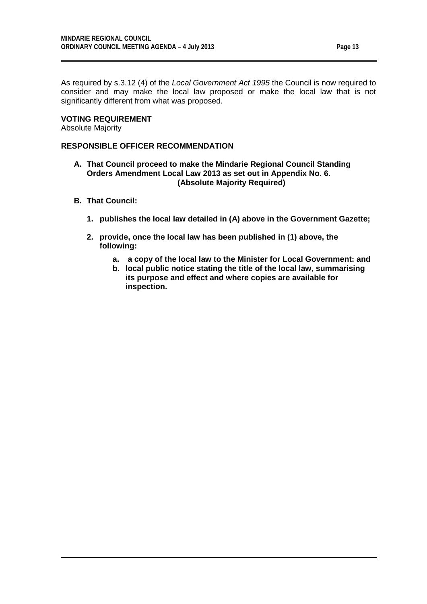As required by s.3.12 (4) of the *Local Government Act 1995* the Council is now required to consider and may make the local law proposed or make the local law that is not significantly different from what was proposed.

## **VOTING REQUIREMENT**

Absolute Majority

## **RESPONSIBLE OFFICER RECOMMENDATION**

- **A. That Council proceed to make the Mindarie Regional Council Standing Orders Amendment Local Law 2013 as set out in Appendix No. 6. (Absolute Majority Required)**
- **B. That Council:**
	- **1. publishes the local law detailed in (A) above in the Government Gazette;**
	- **2. provide, once the local law has been published in (1) above, the following:**
		- **a. a copy of the local law to the Minister for Local Government: and**
		- **b. local public notice stating the title of the local law, summarising its purpose and effect and where copies are available for inspection.**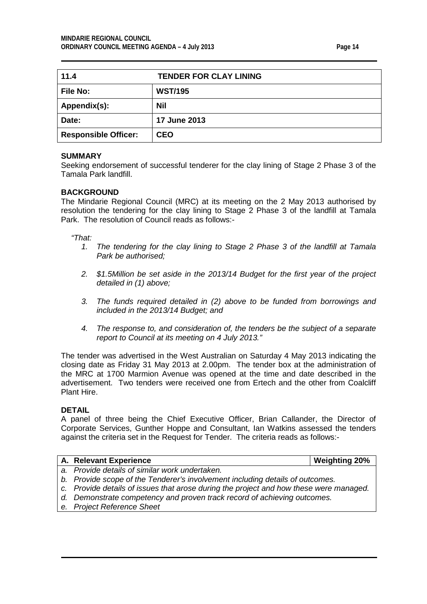<span id="page-13-0"></span>

| 11.4                        | <b>TENDER FOR CLAY LINING</b> |
|-----------------------------|-------------------------------|
| <b>File No:</b>             | <b>WST/195</b>                |
| Appendix(s):                | Nil                           |
| Date:                       | <b>17 June 2013</b>           |
| <b>Responsible Officer:</b> | <b>CEO</b>                    |

## **SUMMARY**

Seeking endorsement of successful tenderer for the clay lining of Stage 2 Phase 3 of the Tamala Park landfill.

#### **BACKGROUND**

The Mindarie Regional Council (MRC) at its meeting on the 2 May 2013 authorised by resolution the tendering for the clay lining to Stage 2 Phase 3 of the landfill at Tamala Park. The resolution of Council reads as follows:-

## *"That:*

- *1. The tendering for the clay lining to Stage 2 Phase 3 of the landfill at Tamala Park be authorised;*
- *2. \$1.5Million be set aside in the 2013/14 Budget for the first year of the project detailed in (1) above;*
- *3. The funds required detailed in (2) above to be funded from borrowings and included in the 2013/14 Budget; and*
- *4. The response to, and consideration of, the tenders be the subject of a separate report to Council at its meeting on 4 July 2013."*

The tender was advertised in the West Australian on Saturday 4 May 2013 indicating the closing date as Friday 31 May 2013 at 2.00pm. The tender box at the administration of the MRC at 1700 Marmion Avenue was opened at the time and date described in the advertisement. Two tenders were received one from Ertech and the other from Coalcliff Plant Hire.

#### **DETAIL**

A panel of three being the Chief Executive Officer, Brian Callander, the Director of Corporate Services, Gunther Hoppe and Consultant, Ian Watkins assessed the tenders against the criteria set in the Request for Tender. The criteria reads as follows:-

| A. Relevant Experience                                                                 | <b>Weighting 20%</b> |
|----------------------------------------------------------------------------------------|----------------------|
| a. Provide details of similar work undertaken.                                         |                      |
| b. Provide scope of the Tenderer's involvement including details of outcomes.          |                      |
| c. Provide details of issues that arose during the project and how these were managed. |                      |
| d. Demonstrate competency and proven track record of achieving outcomes.               |                      |
| e. Project Reference Sheet                                                             |                      |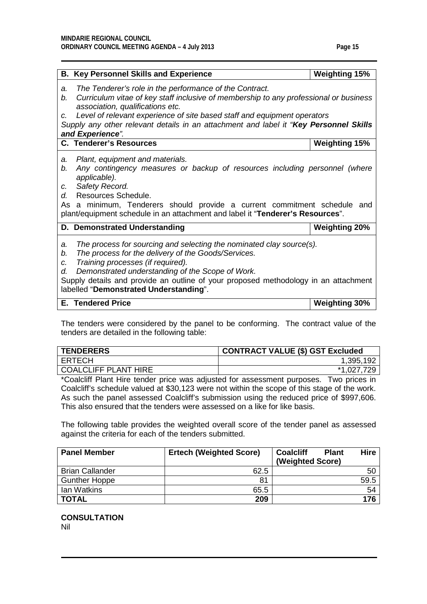|                           | <b>B. Key Personnel Skills and Experience</b>                                                                                                                                                                                                                                                                                                         | <b>Weighting 15%</b> |  |
|---------------------------|-------------------------------------------------------------------------------------------------------------------------------------------------------------------------------------------------------------------------------------------------------------------------------------------------------------------------------------------------------|----------------------|--|
| a.<br>b.                  | The Tenderer's role in the performance of the Contract.<br>Curriculum vitae of key staff inclusive of membership to any professional or business<br>association, qualifications etc.                                                                                                                                                                  |                      |  |
| $\mathcal{C}$ .           | Level of relevant experience of site based staff and equipment operators                                                                                                                                                                                                                                                                              |                      |  |
|                           | Supply any other relevant details in an attachment and label it "Key Personnel Skills                                                                                                                                                                                                                                                                 |                      |  |
|                           | and Experience".                                                                                                                                                                                                                                                                                                                                      |                      |  |
|                           | <b>C. Tenderer's Resources</b>                                                                                                                                                                                                                                                                                                                        | <b>Weighting 15%</b> |  |
| a.<br>b.                  | Plant, equipment and materials.<br>Any contingency measures or backup of resources including personnel (where                                                                                                                                                                                                                                         |                      |  |
|                           | applicable).                                                                                                                                                                                                                                                                                                                                          |                      |  |
| C.                        | Safety Record.                                                                                                                                                                                                                                                                                                                                        |                      |  |
| $d_{\cdot}$               | Resources Schedule.                                                                                                                                                                                                                                                                                                                                   |                      |  |
|                           | As a minimum, Tenderers should provide a current commitment schedule and<br>plant/equipment schedule in an attachment and label it "Tenderer's Resources".                                                                                                                                                                                            |                      |  |
|                           | D. Demonstrated Understanding                                                                                                                                                                                                                                                                                                                         | <b>Weighting 20%</b> |  |
| a.<br>b.<br>$C_{r}$<br>d. | The process for sourcing and selecting the nominated clay source(s).<br>The process for the delivery of the Goods/Services.<br>Training processes (if required).<br>Demonstrated understanding of the Scope of Work.<br>Supply details and provide an outline of your proposed methodology in an attachment<br>labelled "Demonstrated Understanding". |                      |  |
|                           | <b>E.</b> Tendered Price                                                                                                                                                                                                                                                                                                                              | <b>Weighting 30%</b> |  |

The tenders were considered by the panel to be conforming. The contract value of the tenders are detailed in the following table:

| <b>TENDERERS</b>     | <b>CONTRACT VALUE (\$) GST Excluded</b> |
|----------------------|-----------------------------------------|
| <b>ERTECH</b>        | 1,395,192                               |
| COALCLIFF PLANT HIRE | *1,027,729                              |

\*Coalcliff Plant Hire tender price was adjusted for assessment purposes. Two prices in Coalcliff's schedule valued at \$30,123 were not within the scope of this stage of the work. As such the panel assessed Coalcliff's submission using the reduced price of \$997,606. This also ensured that the tenders were assessed on a like for like basis.

The following table provides the weighted overall score of the tender panel as assessed against the criteria for each of the tenders submitted.

| <b>Panel Member</b>    | <b>Ertech (Weighted Score)</b> | <b>Hire</b><br><b>Coalcliff</b><br><b>Plant</b> |
|------------------------|--------------------------------|-------------------------------------------------|
|                        |                                | (Weighted Score)                                |
| <b>Brian Callander</b> | 62.5                           | 50                                              |
| <b>Gunther Hoppe</b>   | 81                             | 59.5                                            |
| Ian Watkins            | 65.5                           | 54                                              |
| <b>TOTAL</b>           | 209                            | 176                                             |

**CONSULTATION** Nil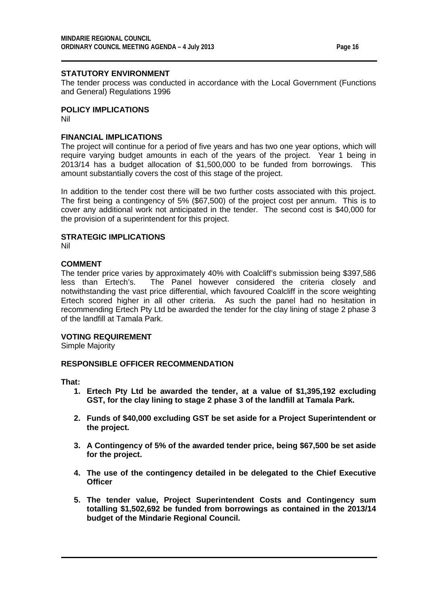The tender process was conducted in accordance with the Local Government (Functions and General) Regulations 1996

# **POLICY IMPLICATIONS**

Nil

## **FINANCIAL IMPLICATIONS**

The project will continue for a period of five years and has two one year options, which will require varying budget amounts in each of the years of the project. Year 1 being in 2013/14 has a budget allocation of \$1,500,000 to be funded from borrowings. This amount substantially covers the cost of this stage of the project.

In addition to the tender cost there will be two further costs associated with this project. The first being a contingency of 5% (\$67,500) of the project cost per annum. This is to cover any additional work not anticipated in the tender. The second cost is \$40,000 for the provision of a superintendent for this project.

## **STRATEGIC IMPLICATIONS**

Nil

## **COMMENT**

The tender price varies by approximately 40% with Coalcliff's submission being \$397,586 less than Ertech's. The Panel however considered the criteria closely and notwithstanding the vast price differential, which favoured Coalcliff in the score weighting Ertech scored higher in all other criteria. As such the panel had no hesitation in recommending Ertech Pty Ltd be awarded the tender for the clay lining of stage 2 phase 3 of the landfill at Tamala Park.

## **VOTING REQUIREMENT**

Simple Majority

## **RESPONSIBLE OFFICER RECOMMENDATION**

**That:**

- **1. Ertech Pty Ltd be awarded the tender, at a value of \$1,395,192 excluding GST, for the clay lining to stage 2 phase 3 of the landfill at Tamala Park.**
- **2. Funds of \$40,000 excluding GST be set aside for a Project Superintendent or the project.**
- **3. A Contingency of 5% of the awarded tender price, being \$67,500 be set aside for the project.**
- **4. The use of the contingency detailed in be delegated to the Chief Executive Officer**
- **5. The tender value, Project Superintendent Costs and Contingency sum totalling \$1,502,692 be funded from borrowings as contained in the 2013/14 budget of the Mindarie Regional Council.**